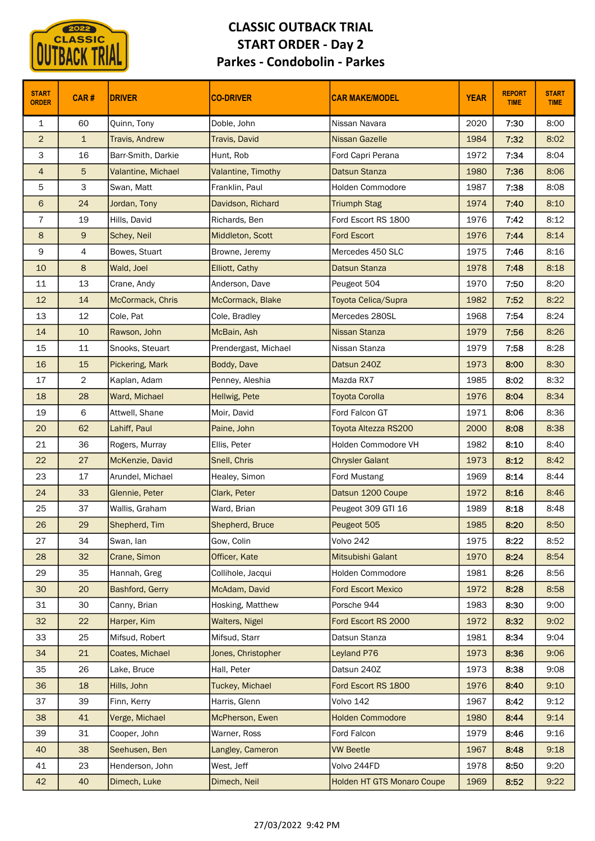

|                              | <b>CLASSIC</b> |                        | <b>CLASSIC OUTBACK TRIAL</b><br><b>START ORDER - Day 2</b> |                                   |              |                              |                             |
|------------------------------|----------------|------------------------|------------------------------------------------------------|-----------------------------------|--------------|------------------------------|-----------------------------|
|                              |                |                        | <b>Parkes - Condobolin - Parkes</b>                        |                                   |              |                              |                             |
| <b>START</b><br><b>ORDER</b> | CAR#           | <b>DRIVER</b>          | <b>CO-DRIVER</b>                                           | <b>CAR MAKE/MODEL</b>             | <b>YEAR</b>  | <b>REPORT</b><br><b>TIME</b> | <b>START</b><br><b>TIME</b> |
| $\mathbf{1}$                 | 60             | Quinn, Tony            | Doble, John                                                | Nissan Navara                     | 2020         | 7:30                         | 8:00                        |
| $\overline{2}$               | $\mathbf{1}$   | <b>Travis, Andrew</b>  | Travis, David                                              | Nissan Gazelle                    | 1984         | 7:32                         | 8:02                        |
| 3                            | 16             | Barr-Smith, Darkie     | Hunt, Rob                                                  | Ford Capri Perana                 | 1972         | 7:34                         | 8:04                        |
| $\overline{4}$               | 5              | Valantine, Michael     | Valantine, Timothy                                         | <b>Datsun Stanza</b>              | 1980         | 7:36                         | 8:06                        |
| 5                            | 3              | Swan, Matt             | Franklin, Paul                                             | <b>Holden Commodore</b>           | 1987         | 7:38                         | 8:08                        |
| 6                            | 24             | Jordan, Tony           | Davidson, Richard                                          | <b>Triumph Stag</b>               | 1974         | 7:40                         | 8:10                        |
| $\overline{7}$               | 19             | Hills, David           | Richards, Ben                                              | Ford Escort RS 1800               | 1976         | 7:42                         | 8:12                        |
| 8                            | $\mathsf{9}$   | Schey, Neil            | Middleton, Scott                                           | <b>Ford Escort</b>                | 1976         | 7:44                         | 8:14                        |
| 9                            | 4              | Bowes, Stuart          | Browne, Jeremy                                             | Mercedes 450 SLC                  | 1975         | 7:46                         | 8:16                        |
| 10                           | $8\phantom{1}$ | Wald, Joel             | Elliott, Cathy                                             | <b>Datsun Stanza</b>              | 1978         | 7:48                         | 8:18                        |
| 11                           | 13             | Crane, Andy            | Anderson, Dave                                             | Peugeot 504                       | 1970         | 7:50                         | 8:20                        |
| 12                           | 14             | McCormack, Chris       | McCormack, Blake                                           | Toyota Celica/Supra               | 1982         | 7:52                         | 8:22                        |
| 13                           | $12\,$         | Cole, Pat              | Cole, Bradley                                              | Mercedes 280SL                    | 1968         | 7:54                         | 8:24                        |
| 14                           | 10             | Rawson, John           | McBain, Ash                                                | Nissan Stanza                     | 1979         | 7:56                         | 8:26                        |
| 15                           | 11             | Snooks, Steuart        | Prendergast, Michael                                       | Nissan Stanza                     | 1979         | 7:58                         | 8:28                        |
| 16                           | 15             | Pickering, Mark        | Boddy, Dave                                                | Datsun 240Z                       | 1973         | 8:00                         | 8:30                        |
| 17                           | $\overline{2}$ | Kaplan, Adam           | Penney, Aleshia                                            | Mazda RX7                         | 1985         | 8:02                         | 8:32                        |
| 18                           | 28             | Ward, Michael          | Hellwig, Pete                                              | <b>Toyota Corolla</b>             | 1976         | 8:04                         | 8:34                        |
| 19                           | 6              | Attwell, Shane         | Moir, David                                                | Ford Falcon GT                    | 1971         | 8:06                         | 8:36                        |
| 20                           | 62             | Lahiff, Paul           | Paine, John                                                | Toyota Altezza RS200              | 2000         | 8:08                         | 8:38                        |
| 21                           | 36             | Rogers, Murray         | Ellis, Peter                                               | Holden Commodore VH               | 1982         | 8:10                         | 8:40                        |
| 22                           | 27             | McKenzie, David        | Snell, Chris                                               | <b>Chrysler Galant</b>            | 1973         | 8:12                         | 8:42                        |
| 23                           | 17             | Arundel, Michael       | Healey, Simon                                              | Ford Mustang                      | 1969         | 8:14                         | 8:44                        |
| 24                           | 33             | Glennie, Peter         | Clark, Peter                                               | Datsun 1200 Coupe                 | 1972         | 8:16                         | 8:46                        |
| 25                           | 37             | Wallis, Graham         | Ward, Brian                                                | Peugeot 309 GTI 16                | 1989         | 8:18                         | 8:48                        |
| 26                           | 29             | Shepherd, Tim          | Shepherd, Bruce                                            | Peugeot 505                       | 1985         | 8:20                         | 8:50                        |
| 27                           | 34             | Swan, lan              | Gow, Colin                                                 | Volvo 242                         | 1975         | 8:22                         | 8:52                        |
| 28                           | 32             | Crane, Simon           | Officer, Kate                                              | Mitsubishi Galant                 | 1970         | 8:24                         | 8:54                        |
| 29                           | 35             | Hannah, Greg           | Collihole, Jacqui                                          | Holden Commodore                  | 1981         | 8:26                         | 8:56                        |
| 30                           | 20             | <b>Bashford, Gerry</b> | McAdam, David                                              | <b>Ford Escort Mexico</b>         | 1972         | 8:28                         | 8:58                        |
| 31                           | 30             | Canny, Brian           | Hosking, Matthew                                           | Porsche 944                       | 1983         | 8:30                         | 9:00                        |
| 32                           | 22             | Harper, Kim            | Walters, Nigel                                             | Ford Escort RS 2000               | 1972         | 8:32                         | 9:02                        |
| 33                           | 25             | Mifsud, Robert         | Mifsud, Starr                                              | Datsun Stanza                     | 1981         | 8:34                         | 9:04                        |
| 34                           | 21             | Coates, Michael        | Jones, Christopher                                         | Leyland P76                       | 1973         | 8:36                         | 9:06                        |
| 35                           | 26             | Lake, Bruce            | Hall, Peter                                                | Datsun 240Z                       | 1973         | 8:38                         | 9:08                        |
| 36                           | 18             | Hills, John            | <b>Tuckey, Michael</b>                                     | Ford Escort RS 1800               | 1976         | 8:40                         | 9:10                        |
| 37                           | 39             | Finn, Kerry            | Harris, Glenn                                              | Volvo 142                         | 1967         | 8:42                         | 9:12                        |
| 38                           | 41             | Verge, Michael         | McPherson, Ewen                                            | <b>Holden Commodore</b>           | 1980         | 8:44                         | 9:14                        |
| 39                           | 31             | Cooper, John           | Warner, Ross                                               | Ford Falcon                       | 1979         | 8:46                         | 9:16                        |
| 40                           | 38             | Seehusen, Ben          | Langley, Cameron                                           | <b>VW Beetle</b>                  | 1967         | 8:48                         | 9:18                        |
| 41                           | 23             | Henderson, John        | West, Jeff                                                 | Volvo 244FD                       | 1978<br>1969 | 8:50                         | 9:20                        |
| 42                           | 40             | Dimech, Luke           | Dimech, Neil                                               | <b>Holden HT GTS Monaro Coupe</b> |              | 8:52                         | 9:22                        |